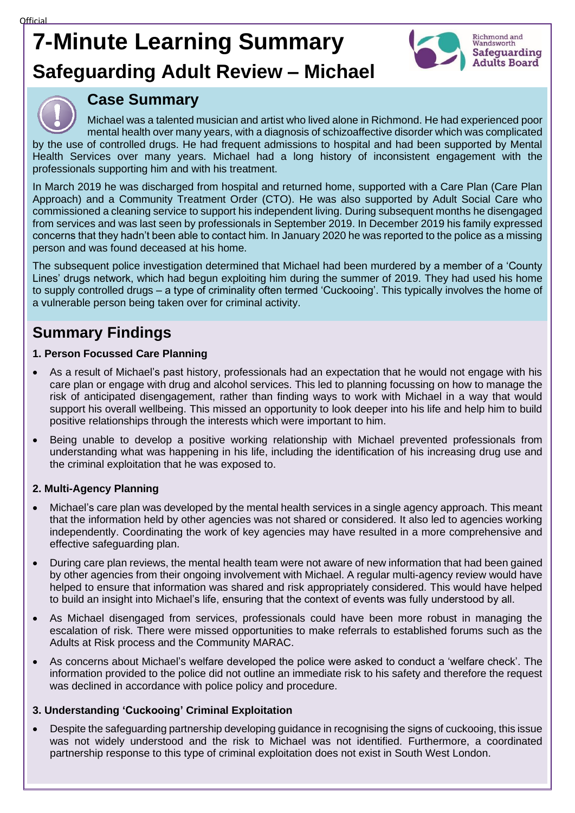# **7-Minute Learning Summary Safeguarding Adult Review – Michael**



# **Case Summary**

Michael was a talented musician and artist who lived alone in Richmond. He had experienced poor mental health over many years, with a diagnosis of schizoaffective disorder which was complicated by the use of controlled drugs. He had frequent admissions to hospital and had been supported by Mental Health Services over many years. Michael had a long history of inconsistent engagement with the professionals supporting him and with his treatment.

In March 2019 he was discharged from hospital and returned home, supported with a Care Plan (Care Plan Approach) and a Community Treatment Order (CTO). He was also supported by Adult Social Care who commissioned a cleaning service to support his independent living. During subsequent months he disengaged from services and was last seen by professionals in September 2019. In December 2019 his family expressed concerns that they hadn't been able to contact him. In January 2020 he was reported to the police as a missing person and was found deceased at his home.

The subsequent police investigation determined that Michael had been murdered by a member of a 'County Lines' drugs network, which had begun exploiting him during the summer of 2019. They had used his home to supply controlled drugs – a type of criminality often termed 'Cuckooing'. This typically involves the home of a vulnerable person being taken over for criminal activity.

# **Summary Findings**

# **1. Person Focussed Care Planning**

- As a result of Michael's past history, professionals had an expectation that he would not engage with his care plan or engage with drug and alcohol services. This led to planning focussing on how to manage the risk of anticipated disengagement, rather than finding ways to work with Michael in a way that would support his overall wellbeing. This missed an opportunity to look deeper into his life and help him to build positive relationships through the interests which were important to him.
- Being unable to develop a positive working relationship with Michael prevented professionals from understanding what was happening in his life, including the identification of his increasing drug use and the criminal exploitation that he was exposed to.

# **2. Multi-Agency Planning**

- Michael's care plan was developed by the mental health services in a single agency approach. This meant that the information held by other agencies was not shared or considered. It also led to agencies working independently. Coordinating the work of key agencies may have resulted in a more comprehensive and effective safeguarding plan.
- During care plan reviews, the mental health team were not aware of new information that had been gained by other agencies from their ongoing involvement with Michael. A regular multi-agency review would have helped to ensure that information was shared and risk appropriately considered. This would have helped to build an insight into Michael's life, ensuring that the context of events was fully understood by all.
- As Michael disengaged from services, professionals could have been more robust in managing the escalation of risk. There were missed opportunities to make referrals to established forums such as the Adults at Risk process and the Community MARAC.
- As concerns about Michael's welfare developed the police were asked to conduct a 'welfare check'. The information provided to the police did not outline an immediate risk to his safety and therefore the request was declined in accordance with police policy and procedure.

# **3. Understanding 'Cuckooing' Criminal Exploitation**

• Despite the safeguarding partnership developing guidance in recognising the signs of cuckooing, this issue was not widely understood and the risk to Michael was not identified. Furthermore, a coordinated partnership response to this type of criminal exploitation does not exist in South West London.